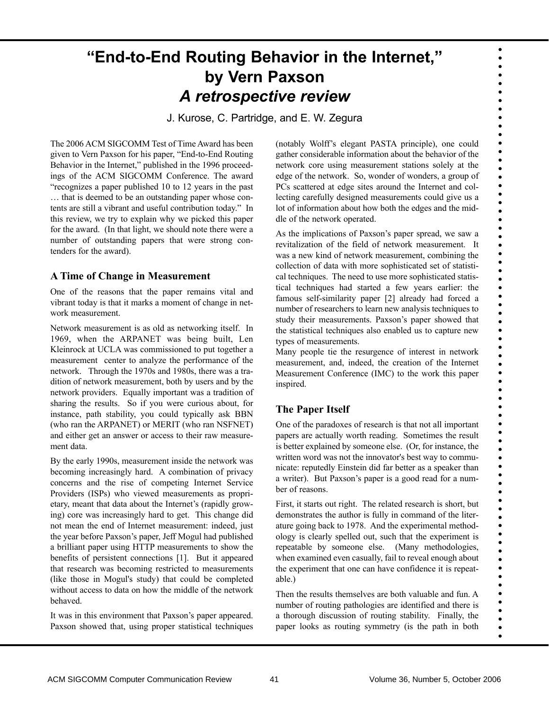# **"End-to-End Routing Behavior in the Internet," by Vern Paxson** *A retrospective review*

J. Kurose, C. Partridge, and E. W. Zegura

The 2006 ACM SIGCOMM Test of Time Award has been given to Vern Paxson for his paper, "End-to-End Routing Behavior in the Internet," published in the 1996 proceedings of the ACM SIGCOMM Conference. The award "recognizes a paper published 10 to 12 years in the past … that is deemed to be an outstanding paper whose contents are still a vibrant and useful contribution today." In this review, we try to explain why we picked this paper for the award. (In that light, we should note there were a number of outstanding papers that were strong contenders for the award).

# **A Time of Change in Measurement**

One of the reasons that the paper remains vital and vibrant today is that it marks a moment of change in network measurement.

Network measurement is as old as networking itself. In 1969, when the ARPANET was being built, Len Kleinrock at UCLA was commissioned to put together a measurement center to analyze the performance of the network. Through the 1970s and 1980s, there was a tradition of network measurement, both by users and by the network providers. Equally important was a tradition of sharing the results. So if you were curious about, for instance, path stability, you could typically ask BBN (who ran the ARPANET) or MERIT (who ran NSFNET) and either get an answer or access to their raw measurement data.

By the early 1990s, measurement inside the network was becoming increasingly hard. A combination of privacy concerns and the rise of competing Internet Service Providers (ISPs) who viewed measurements as proprietary, meant that data about the Internet's (rapidly growing) core was increasingly hard to get. This change did not mean the end of Internet measurement: indeed, just the year before Paxson's paper, Jeff Mogul had published a brilliant paper using HTTP measurements to show the benefits of persistent connections [1]. But it appeared that research was becoming restricted to measurements (like those in Mogul's study) that could be completed without access to data on how the middle of the network behaved.

It was in this environment that Paxson's paper appeared. Paxson showed that, using proper statistical techniques (notably Wolff's elegant PASTA principle), one could gather considerable information about the behavior of the network core using measurement stations solely at the edge of the network. So, wonder of wonders, a group of PCs scattered at edge sites around the Internet and collecting carefully designed measurements could give us a lot of information about how both the edges and the middle of the network operated.

• • • • • • • • • • • • • • • • • • • • • • • • • • • • • • • • • • • • • • • • • • • • • • • • • • • • • • • • • • • • • • • • • • • • • •

As the implications of Paxson's paper spread, we saw a revitalization of the field of network measurement. It was a new kind of network measurement, combining the collection of data with more sophisticated set of statistical techniques. The need to use more sophisticated statistical techniques had started a few years earlier: the famous self-similarity paper [2] already had forced a number of researchers to learn new analysis techniques to study their measurements. Paxson's paper showed that the statistical techniques also enabled us to capture new types of measurements.

Many people tie the resurgence of interest in network measurement, and, indeed, the creation of the Internet Measurement Conference (IMC) to the work this paper inspired.

# **The Paper Itself**

One of the paradoxes of research is that not all important papers are actually worth reading. Sometimes the result is better explained by someone else. (Or, for instance, the written word was not the innovator's best way to communicate: reputedly Einstein did far better as a speaker than a writer). But Paxson's paper is a good read for a number of reasons.

First, it starts out right. The related research is short, but demonstrates the author is fully in command of the literature going back to 1978. And the experimental methodology is clearly spelled out, such that the experiment is repeatable by someone else. (Many methodologies, when examined even casually, fail to reveal enough about the experiment that one can have confidence it is repeatable.)

Then the results themselves are both valuable and fun. A number of routing pathologies are identified and there is a thorough discussion of routing stability. Finally, the paper looks as routing symmetry (is the path in both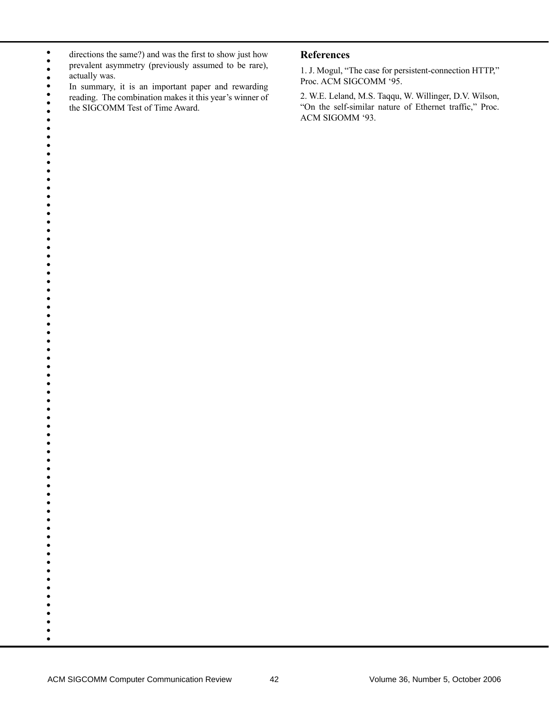- directions the same?) and was the first to show just how •
- prevalent asymmetry (previously assumed to be rare), • •
- actually was. •

• • • • • • • • • • • • • • • • • • • • • • • • • • • • • • • • • • • • • • • • • • • • • • • • • • • • • • • • • • • • • •

In summary, it is an important paper and rewarding reading. The combination makes it this year's winner of the SIGCOMM Test of Time Award. • • • •

### **References**

1. J. Mogul, "The case for persistent-connection HTTP," Proc. ACM SIGCOMM '95.

2. W.E. Leland, M.S. Taqqu, W. Willinger, D.V. Wilson, "On the self-similar nature of Ethernet traffic," Proc. ACM SIGOMM '93.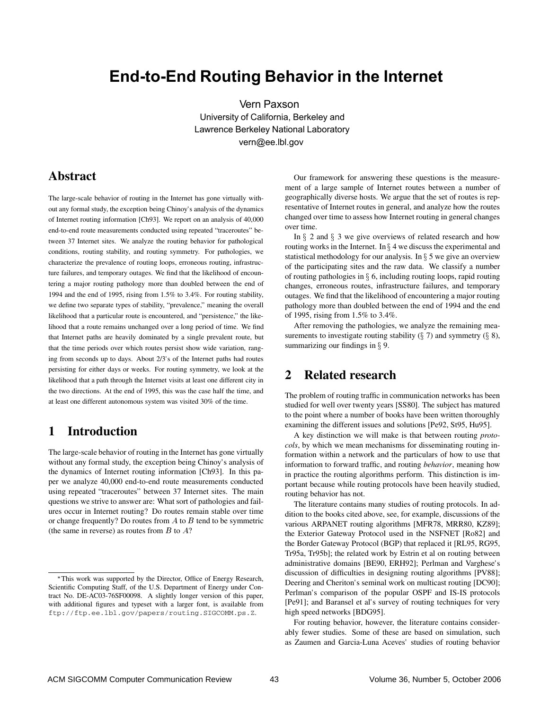# **End-to-End Routing Behavior in the Internet**

Vern Paxson University of California, Berkeley and Lawrence Berkeley National Laboratory vern@ee.lbl.gov

# **Abstract**

The large-scale behavior of routing in the Internet has gone virtually without any formal study, the exception being Chinoy's analysis of the dynamics of Internet routing information [Ch93]. We report on an analysis of 40,000 end-to-end route measurements conducted using repeated "traceroutes" between 37 Internet sites. We analyze the routing behavior for pathological conditions, routing stability, and routing symmetry. For pathologies, we characterize the prevalence of routing loops, erroneous routing, infrastructure failures, and temporary outages. We find that the likelihood of encountering a major routing pathology more than doubled between the end of 1994 and the end of 1995, rising from 1.5% to 3.4%. For routing stability, we define two separate types of stability, "prevalence," meaning the overall likelihood that a particular route is encountered, and "persistence," the likelihood that a route remains unchanged over a long period of time. We find that Internet paths are heavily dominated by a single prevalent route, but that the time periods over which routes persist show wide variation, ranging from seconds up to days. About 2/3's of the Internet paths had routes persisting for either days or weeks. For routing symmetry, we look at the likelihood that a path through the Internet visits at least one different city in the two directions. At the end of 1995, this was the case half the time, and at least one different autonomous system was visited 30% of the time.

# **1 Introduction**

The large-scale behavior of routing in the Internet has gone virtually without any formal study, the exception being Chinoy's analysis of the dynamics of Internet routing information [Ch93]. In this paper we analyze 40,000 end-to-end route measurements conducted using repeated "traceroutes" between 37 Internet sites. The main questions we strive to answer are: What sort of pathologies and failures occur in Internet routing? Do routes remain stable over time or change frequently? Do routes from  $A$  to  $B$  tend to be symmetric (the same in reverse) as routes from  $B$  to  $A$ ?

Our framework for answering these questions is the measurement of a large sample of Internet routes between a number of geographically diverse hosts. We argue that the set of routes is representative of Internet routes in general, and analyze how the routes changed over time to assess how Internet routing in general changes over time.

In  $\S$  2 and  $\S$  3 we give overviews of related research and how routing works in the Internet. In  $\S 4$  we discuss the experimental and statistical methodology for our analysis. In  $\S$  5 we give an overview of the participating sites and the raw data. We classify a number of routing pathologies in  $\S$  6, including routing loops, rapid routing changes, erroneous routes, infrastructure failures, and temporary outages. We find that the likelihood of encountering a major routing pathology more than doubled between the end of 1994 and the end of 1995, rising from 1.5% to 3.4%.

After removing the pathologies, we analyze the remaining measurements to investigate routing stability ( $\S$  7) and symmetry ( $\S$  8), summarizing our findings in  $\S$  9.

# **2 Related research**

The problem of routing traffic in communication networks has been studied for well over twenty years [SS80]. The subject has matured to the point where a number of books have been written thoroughly examining the different issues and solutions [Pe92, St95, Hu95].

A key distinction we will make is that between routing *protocols*, by which we mean mechanisms for disseminating routing information within a network and the particulars of how to use that information to forward traffic, and routing *behavior*, meaning how in practice the routing algorithms perform. This distinction is important because while routing protocols have been heavily studied, routing behavior has not.

The literature contains many studies of routing protocols. In addition to the books cited above, see, for example, discussions of the various ARPANET routing algorithms [MFR78, MRR80, KZ89]; the Exterior Gateway Protocol used in the NSFNET [Ro82] and the Border Gateway Protocol (BGP) that replaced it [RL95, RG95, Tr95a, Tr95b]; the related work by Estrin et al on routing between administrative domains [BE90, ERH92]; Perlman and Varghese's discussion of difficulties in designing routing algorithms [PV88]; Deering and Cheriton's seminal work on multicast routing [DC90]; Perlman's comparison of the popular OSPF and IS-IS protocols [Pe91]; and Baransel et al's survey of routing techniques for very high speed networks [BDG95].

For routing behavior, however, the literature contains considerably fewer studies. Some of these are based on simulation, such as Zaumen and Garcia-Luna Aceves' studies of routing behavior

This work was supported by the Director, Office of Energy Research, Scientific Computing Staff, of the U.S. Department of Energy under Contract No. DE-AC03-76SF00098. A slightly longer version of this paper, with additional figures and typeset with a larger font, is available from ftp://ftp.ee.lbl.gov/papers/routing.SIGCOMM.ps.Z.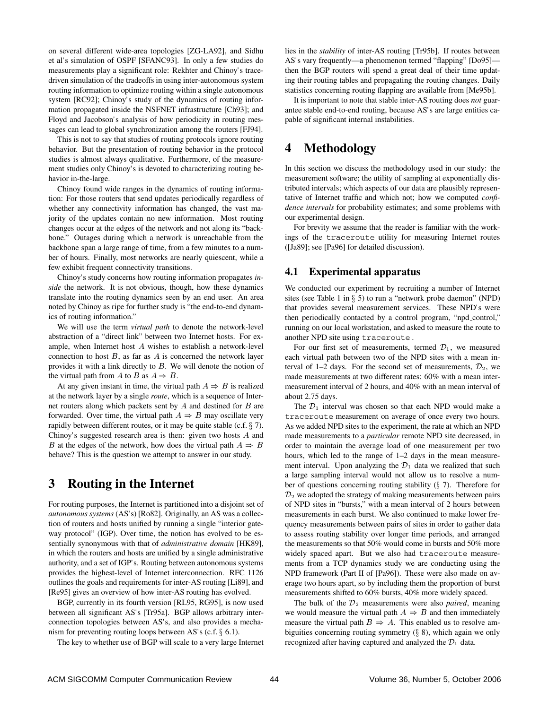on several different wide-area topologies [ZG-LA92], and Sidhu et al's simulation of OSPF [SFANC93]. In only a few studies do measurements play a significant role: Rekhter and Chinoy's tracedriven simulation of the tradeoffs in using inter-autonomous system routing information to optimize routing within a single autonomous system [RC92]; Chinoy's study of the dynamics of routing information propagated inside the NSFNET infrastructure [Ch93]; and Floyd and Jacobson's analysis of how periodicity in routing messages can lead to global synchronization among the routers [FJ94].

This is not to say that studies of routing protocols ignore routing behavior. But the presentation of routing behavior in the protocol studies is almost always qualitative. Furthermore, of the measurement studies only Chinoy's is devoted to characterizing routing behavior in-the-large.

Chinoy found wide ranges in the dynamics of routing information: For those routers that send updates periodically regardless of whether any connectivity information has changed, the vast majority of the updates contain no new information. Most routing changes occur at the edges of the network and not along its "backbone." Outages during which a network is unreachable from the backbone span a large range of time, from a few minutes to a number of hours. Finally, most networks are nearly quiescent, while a few exhibit frequent connectivity transitions.

Chinoy's study concerns how routing information propagates *inside* the network. It is not obvious, though, how these dynamics translate into the routing dynamics seen by an end user. An area noted by Chinoy as ripe for further study is "the end-to-end dynamics of routing information."

We will use the term *virtual path* to denote the network-level abstraction of a "direct link" between two Internet hosts. For example, when Internet host A wishes to establish a network-level connection to host  $B$ , as far as  $A$  is concerned the network layer provides it with a link directly to <sup>B</sup>. We will denote the notion of the virtual path from A to B as  $A \Rightarrow B$ .

At any given instant in time, the virtual path  $A \Rightarrow B$  is realized at the network layer by a single *route*, which is a sequence of Internet routers along which packets sent by A and destined for <sup>B</sup> are forwarded. Over time, the virtual path  $A \Rightarrow B$  may oscillate very rapidly between different routes, or it may be quite stable (c.f.  $\S$  7). Chinoy's suggested research area is then: given two hosts A and B at the edges of the network, how does the virtual path  $A \Rightarrow B$ behave? This is the question we attempt to answer in our study.

# **3 Routing in the Internet**

For routing purposes, the Internet is partitioned into a disjoint set of *autonomous systems* (AS's) [Ro82]. Originally, an AS was a collection of routers and hosts unified by running a single "interior gateway protocol" (IGP). Over time, the notion has evolved to be essentially synonymous with that of *administrative domain* [HK89], in which the routers and hosts are unified by a single administrative authority, and a set of IGP's. Routing between autonomous systems provides the highest-level of Internet interconnection. RFC 1126 outlines the goals and requirements for inter-AS routing [Li89], and [Re95] gives an overview of how inter-AS routing has evolved.

BGP, currently in its fourth version [RL95, RG95], is now used between all significant AS's [Tr95a]. BGP allows arbitrary interconnection topologies between AS's, and also provides a mechanism for preventing routing loops between AS's (c.f.  $\S$  6.1).

The key to whether use of BGP will scale to a very large Internet

lies in the *stability* of inter-AS routing [Tr95b]. If routes between AS's vary frequently—a phenomenon termed "flapping" [Do95] then the BGP routers will spend a great deal of their time updating their routing tables and propagating the routing changes. Daily statistics concerning routing flapping are available from [Me95b].

It is important to note that stable inter-AS routing does *not* guarantee stable end-to-end routing, because AS's are large entities capable of significant internal instabilities.

# **4 Methodology**

In this section we discuss the methodology used in our study: the measurement software; the utility of sampling at exponentially distributed intervals; which aspects of our data are plausibly representative of Internet traffic and which not; how we computed *confidence intervals* for probability estimates; and some problems with our experimental design.

For brevity we assume that the reader is familiar with the workings of the traceroute utility for measuring Internet routes ([Ja89]; see [Pa96] for detailed discussion).

### **4.1 Experimental apparatus**

We conducted our experiment by recruiting a number of Internet sites (see Table 1 in  $\S$  5) to run a "network probe daemon" (NPD) that provides several measurement services. These NPD's were then periodically contacted by a control program, "npd control," running on our local workstation, and asked to measure the route to another NPD site using traceroute .

For our first set of measurements, termed  $\mathcal{D}_1$ , we measured each virtual path between two of the NPD sites with a mean interval of 1–2 days. For the second set of measurements,  $\mathcal{D}_2$ , we made measurements at two different rates: 60% with a mean intermeasurement interval of 2 hours, and 40% with an mean interval of about 2.75 days.

The  $\mathcal{D}_1$  interval was chosen so that each NPD would make a traceroute measurement on average of once every two hours. As we added NPD sites to the experiment, the rate at which an NPD made measurements to a *particular* remote NPD site decreased, in order to maintain the average load of one measurement per two hours, which led to the range of 1–2 days in the mean measurement interval. Upon analyzing the  $\mathcal{D}_1$  data we realized that such a large sampling interval would not allow us to resolve a number of questions concerning routing stability  $(\S 7)$ . Therefore for  $\mathcal{D}_2$  we adopted the strategy of making measurements between pairs of NPD sites in "bursts," with a mean interval of 2 hours between measurements in each burst. We also continued to make lower frequency measurements between pairs of sites in order to gather data to assess routing stability over longer time periods, and arranged the measurements so that 50% would come in bursts and 50% more widely spaced apart. But we also had traceroute measurements from a TCP dynamics study we are conducting using the NPD framework (Part II of [Pa96]). These were also made on average two hours apart, so by including them the proportion of burst measurements shifted to 60% bursts, 40% more widely spaced.

The bulk of the  $\mathcal{D}_2$  measurements were also *paired*, meaning we would measure the virtual path  $A \Rightarrow B$  and then immediately measure the virtual path  $B \Rightarrow A$ . This enabled us to resolve ambiguities concerning routing symmetry  $(\S$  8), which again we only recognized after having captured and analyzed the  $\mathcal{D}_1$  data.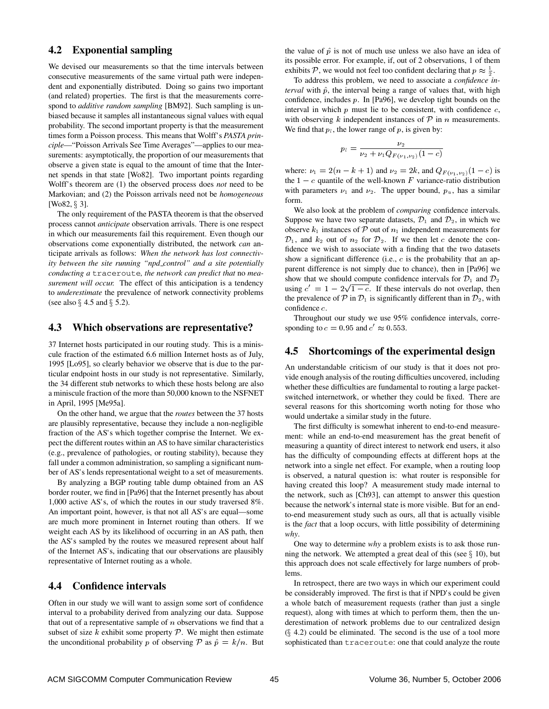### **4.2 Exponential sampling**

We devised our measurements so that the time intervals between consecutive measurements of the same virtual path were independent and exponentially distributed. Doing so gains two important (and related) properties. The first is that the measurements correspond to *additive random sampling* [BM92]. Such sampling is unbiased because it samples all instantaneous signal values with equal probability. The second important property is that the measurement times form a Poisson process. This means that Wolff's *PASTA principle*—"Poisson Arrivals See Time Averages"—applies to our measurements: asymptotically, the proportion of our measurements that observe a given state is equal to the amount of time that the Internet spends in that state [Wo82]. Two important points regarding Wolff's theorem are (1) the observed process does *not* need to be Markovian; and (2) the Poisson arrivals need not be *homogeneous* [Wo82,  $\S$  3].

The only requirement of the PASTA theorem is that the observed process cannot *anticipate* observation arrivals. There is one respect in which our measurements fail this requirement. Even though our observations come exponentially distributed, the network *can* anticipate arrivals as follows: *When the network has lost connectivity between the site running "npd control" and a site potentially conducting a* traceroute*, the network can predict that* no *measurement will occur.* The effect of this anticipation is a tendency to *underestimate* the prevalence of network connectivity problems (see also  $\S$  4.5 and  $\S$  5.2).

#### **4.3 Which observations are representative?**

37 Internet hosts participated in our routing study. This is a miniscule fraction of the estimated 6.6 million Internet hosts as of July, 1995 [Lo95], so clearly behavior we observe that is due to the particular endpoint hosts in our study is not representative. Similarly, the 34 different stub networks to which these hosts belong are also a miniscule fraction of the more than 50,000 known to the NSFNET in April, 1995 [Me95a].

On the other hand, we argue that the *routes* between the 37 hosts are plausibly representative, because they include a non-negligible fraction of the AS's which together comprise the Internet. We expect the different routes within an AS to have similar characteristics (e.g., prevalence of pathologies, or routing stability), because they fall under a common administration, so sampling a significant number of AS's lends representational weight to a set of measurements.

By analyzing a BGP routing table dump obtained from an AS border router, we find in [Pa96] that the Internet presently has about 1,000 active AS's, of which the routes in our study traversed 8%. An important point, however, is that not all AS's are equal—some are much more prominent in Internet routing than others. If we weight each AS by its likelihood of occurring in an AS path, then the AS's sampled by the routes we measured represent about half of the Internet AS's, indicating that our observations are plausibly representative of Internet routing as a whole.

#### **4.4 Confidence intervals**

Often in our study we will want to assign some sort of confidence interval to a probability derived from analyzing our data. Suppose that out of a representative sample of  $n$  observations we find that a subset of size  $k$  exhibit some property  $P$ . We might then estimate the unconditional probability p of observing  $P$  as  $\hat{p} = k/n$ . But

the value of  $\hat{p}$  is not of much use unless we also have an idea of its possible error. For example, if, out of 2 observations, 1 of them exhibits P, we would not feel too confident declaring that  $p \approx \frac{1}{2}$ .

-To address this problem, we need to associate a *confidence interval* with  $\hat{p}$ , the interval being a range of values that, with high confidence, includes <sup>p</sup>. In [Pa96], we develop tight bounds on the interval in which  $p$  must lie to be consistent, with confidence  $c$ , with observing k independent instances of  $P$  in n measurements. We find that  $p_l$ , the lower range of p, is given by:

$$
p_l = \frac{\nu_2}{\nu_2 + \nu_1 Q_{F(\nu_1, \nu_2)}(1 - c)}
$$

where:  $\nu_1 = 2(n - k + 1)$  and  $\nu_2 = 2k$ , and  $Q_{F(\nu_1, \nu_2)}(1 - c)$  is the  $1 - c$  quantile of the well-known F variance-ratio distribution with parameters  $\nu_1$  and  $\nu_2$ . The upper bound,  $p_u$ , has a similar form.

We also look at the problem of *comparing* confidence intervals. Suppose we have two separate datasets,  $\mathcal{D}_1$  and  $\mathcal{D}_2$ , in which we observe  $k_1$  instances of P out of  $n_1$  independent measurements for  $\mathcal{D}_1$ , and  $k_2$  out of  $n_2$  for  $\mathcal{D}_2$ . If we then let c denote the confidence we wish to associate with a finding that the two datasets show a significant difference (i.e.,  $c$  is the probability that an apparent difference is not simply due to chance), then in [Pa96] we show that we should compute confidence intervals for  $\mathcal{D}_1$  and  $\mathcal{D}_2$ using  $c' = 1 - 2\sqrt{1 - c}$ . If these intervals do not overlap, then the prevalence of  $P$  in  $D_1$  is significantly different than in  $D_2$ , with confidence <sup>c</sup>.

Throughout our study we use 95% confidence intervals, corresponding to  $c = 0.95$  and  $c' \approx 0.553$ .

### **4.5 Shortcomings of the experimental design**

An understandable criticism of our study is that it does not provide enough analysis of the routing difficulties uncovered, including whether these difficulties are fundamental to routing a large packetswitched internetwork, or whether they could be fixed. There are several reasons for this shortcoming worth noting for those who would undertake a similar study in the future.

The first difficulty is somewhat inherent to end-to-end measurement: while an end-to-end measurement has the great benefit of measuring a quantity of direct interest to network end users, it also has the difficulty of compounding effects at different hops at the network into a single net effect. For example, when a routing loop is observed, a natural question is: what router is responsible for having created this loop? A measurement study made internal to the network, such as [Ch93], can attempt to answer this question because the network's internal state is more visible. But for an endto-end measurement study such as ours, all that is actually visible is the *fact* that a loop occurs, with little possibility of determining *why*.

One way to determine *why* a problem exists is to ask those running the network. We attempted a great deal of this (see  $\S$  10), but this approach does not scale effectively for large numbers of problems.

In retrospect, there are two ways in which our experiment could be considerably improved. The first is that if NPD's could be given a whole batch of measurement requests (rather than just a single request), along with times at which to perform them, then the underestimation of network problems due to our centralized design  $(\S$  4.2) could be eliminated. The second is the use of a tool more sophisticated than traceroute: one that could analyze the route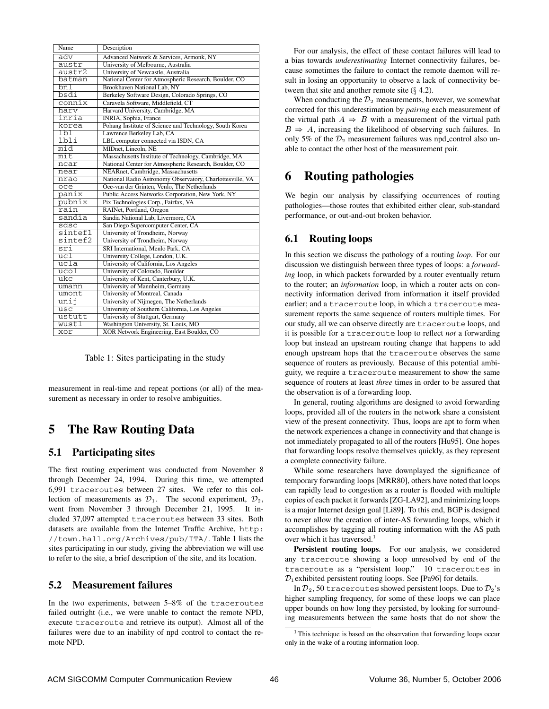| Name    | Description                                               |
|---------|-----------------------------------------------------------|
| adv     | Advanced Network & Services, Armonk, NY                   |
| austr   | University of Melbourne, Australia                        |
| austr2  | University of Newcastle, Australia                        |
| batman  | National Center for Atmospheric Research, Boulder, CO     |
| bn 1    | Brookhaven National Lab, NY                               |
| bsdi    | Berkeley Software Design, Colorado Springs, CO            |
| connix  | Caravela Software, Middlefield, CT                        |
| harv    | Harvard University, Cambridge, MA                         |
| inria   | INRIA, Sophia, France                                     |
| korea   | Pohang Institute of Science and Technology, South Korea   |
| 1b1     | Lawrence Berkeley Lab, CA                                 |
| lbli    | LBL computer connected via ISDN, CA                       |
| mid     | MIDnet, Lincoln, NE                                       |
| mit.    | Massachusetts Institute of Technology, Cambridge, MA      |
| ncar    | National Center for Atmospheric Research, Boulder, CO     |
| near    | NEARnet, Cambridge, Massachusetts                         |
| nrao    | National Radio Astronomy Observatory, Charlottesville, VA |
| oce     | Oce-van der Grinten, Venlo, The Netherlands               |
| panix   | Public Access Networks Corporation, New York, NY          |
| pubnix  | Pix Technologies Corp., Fairfax, VA                       |
| rain    | RAINet, Portland, Oregon                                  |
| sandia  | Sandia National Lab, Livermore, CA                        |
| sdsc    | San Diego Supercomputer Center, CA                        |
| sintef1 | University of Trondheim, Norway                           |
| sintef2 | University of Trondheim, Norway                           |
| sri     | SRI International, Menlo Park, CA                         |
| ucl     | University College, London, U.K.                          |
| ucla    | University of California, Los Angeles                     |
| ucol    | University of Colorado, Boulder                           |
| ukc     | University of Kent, Canterbury, U.K.                      |
| umann   | University of Mannheim, Germany                           |
| umont   | University of Montreal, Canada                            |
| unij    | University of Nijmegen, The Netherlands                   |
| usc     | University of Southern California, Los Angeles            |
| ustutt  | University of Stuttgart, Germany                          |
| wustl   | Washington University, St. Louis, MO                      |
| xor     | XOR Network Engineering, East Boulder, CO                 |

Table 1: Sites participating in the study

measurement in real-time and repeat portions (or all) of the measurement as necessary in order to resolve ambiguities.

# **5 The Raw Routing Data**

### **5.1 Participating sites**

The first routing experiment was conducted from November 8 through December 24, 1994. During this time, we attempted 6,991 traceroutes between 27 sites. We refer to this collection of measurements as  $\mathcal{D}_1$ . The second experiment,  $\mathcal{D}_2$ , went from November 3 through December 21, 1995. It included 37,097 attempted traceroutes between 33 sites. Both datasets are available from the Internet Traffic Archive, http: //town.hall.org/Archives/pub/ITA/. Table 1 lists the sites participating in our study, giving the abbreviation we will use to refer to the site, a brief description of the site, and its location.

### **5.2 Measurement failures**

In the two experiments, between 5–8% of the traceroutes failed outright (i.e., we were unable to contact the remote NPD, execute traceroute and retrieve its output). Almost all of the failures were due to an inability of npd control to contact the remote NPD.

For our analysis, the effect of these contact failures will lead to a bias towards *underestimating* Internet connectivity failures, because sometimes the failure to contact the remote daemon will result in losing an opportunity to observe a lack of connectivity between that site and another remote site  $(\S 4.2)$ .

When conducting the  $\mathcal{D}_2$  measurements, however, we somewhat corrected for this underestimation by *pairing* each measurement of the virtual path  $A \Rightarrow B$  with a measurement of the virtual path  $B \Rightarrow A$ , increasing the likelihood of observing such failures. In only 5% of the  $\mathcal{D}_2$  measurement failures was npd\_control also unable to contact the other host of the measurement pair.

# **6 Routing pathologies**

We begin our analysis by classifying occurrences of routing pathologies—those routes that exhibited either clear, sub-standard performance, or out-and-out broken behavior.

### **6.1 Routing loops**

In this section we discuss the pathology of a routing *loop*. For our discussion we distinguish between three types of loops: a *forwarding* loop, in which packets forwarded by a router eventually return to the router; an *information* loop, in which a router acts on connectivity information derived from information it itself provided earlier; and a traceroute loop, in which a traceroute measurement reports the same sequence of routers multiple times. For our study, all we can observe directly are traceroute loops, and it is possible for a traceroute loop to reflect *not* a forwarding loop but instead an upstream routing change that happens to add enough upstream hops that the traceroute observes the same sequence of routers as previously. Because of this potential ambiguity, we require a traceroute measurement to show the same sequence of routers at least *three* times in order to be assured that the observation is of a forwarding loop.

In general, routing algorithms are designed to avoid forwarding loops, provided all of the routers in the network share a consistent view of the present connectivity. Thus, loops are apt to form when the network experiences a change in connectivity and that change is not immediately propagated to all of the routers [Hu95]. One hopes that forwarding loops resolve themselves quickly, as they represent a complete connectivity failure.

While some researchers have downplayed the significance of temporary forwarding loops [MRR80], others have noted that loops can rapidly lead to congestion as a router is flooded with multiple copies of each packet it forwards [ZG-LA92], and minimizing loops is a major Internet design goal [Li89]. To this end, BGP is designed to never allow the creation of inter-AS forwarding loops, which it accomplishes by tagging all routing information with the AS path over which it has traversed.<sup>1</sup>

**Persistent routing loops.** For our analysis, we considered any traceroute showing a loop unresolved by end of the traceroute as a "persistent loop." 10 traceroutes in  $\mathcal{D}_1$  exhibited persistent routing loops. See [Pa96] for details.

In  $\mathcal{D}_2$ , 50 traceroutes showed persistent loops. Due to  $\mathcal{D}_2$ 's higher sampling frequency, for some of these loops we can place upper bounds on how long they persisted, by looking for surrounding measurements between the same hosts that do not show the

<sup>&</sup>lt;sup>1</sup> This technique is based on the observation that forwarding loops occur only in the wake of a routing information loop.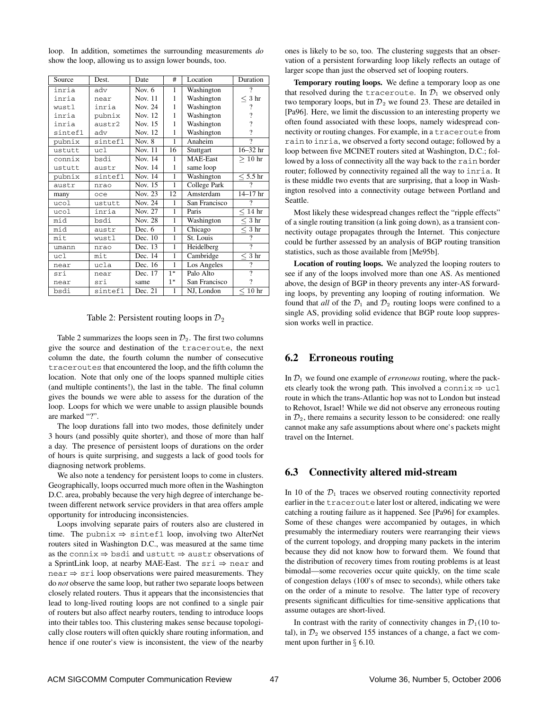loop. In addition, sometimes the surrounding measurements *do* show the loop, allowing us to assign lower bounds, too.

| Source  | Dest.   | Date           | #            | Location            | Duration                 |
|---------|---------|----------------|--------------|---------------------|--------------------------|
| inria   | vba     | Nov. 6         | 1            | Washington          | $\gamma$                 |
| inria   | near    | Nov. 11        | 1            | Washington          | $<$ 3 hr                 |
| wust1   | inria   | Nov. 24        | 1            | Washington          | ?                        |
| inria   | pubnix  | Nov. 12        | 1            | Washington          | 9                        |
| inria   | austr2  | Nov. 15        | 1            | Washington          | 9                        |
| sintef1 | vba     | Nov. 12        | 1            | Washington          | 9                        |
| pubnix  | sintef1 | Nov. 8         | 1            | Anaheim             | $\mathcal{P}$            |
| ustutt  | uc1     | Nov. 11        | 16           | Stuttgart           | $16 - 32$ hr             |
| connix  | bsdi    | Nov. 14        | 1            | MAE-East            | $>10$ hr                 |
| ustutt  | austr   | Nov. 14        | 1            | same loop           |                          |
| pubnix  | sintef1 | Nov. 14        | 1            | Washington          | $<$ 5.5 hr               |
| austr   | nrao    | Nov. 15        | 1            | <b>College Park</b> | ?                        |
| many    | oce     | <b>Nov. 23</b> | 12           | Amsterdam           | $14 - 17$ hr             |
| uco1    | ustutt  | Nov. 24        | 1            | San Francisco       | ?                        |
| ucol    | inria   | Nov. 27        | 1            | Paris               | $\leq 14$ hr             |
| mid     | bsdi    | Nov. 28        | 1            | Washington          | $<$ 3 hr                 |
| mid     | austr   | Dec. 6         | 1            | Chicago             | $<$ 3 hr                 |
| mit     | wustl   | Dec. 10        | 1            | St. Louis           | 9                        |
| umann   | nrao    | Dec. 13        | $\mathbf{1}$ | Heidelberg          | 9                        |
| uc1     | mit     | Dec. 14        | 1            | Cambridge           | $<$ 3 hr                 |
| near    | ucla    | Dec. 16        | 1            | Los Angeles         | $\gamma$                 |
| sri     | near    | Dec. 17        | $1*$         | Palo Alto           | $\overline{\mathcal{P}}$ |
| near    | sri     | same           | $1^*$        | San Francisco       | $\gamma$                 |
| bsdi    | sintef1 | Dec. 21        | 1            | NJ, London          | $< 10$ hr                |

Table 2: Persistent routing loops in  $\mathcal{D}_2$ 

Table 2 summarizes the loops seen in  $\mathcal{D}_2$ . The first two columns give the source and destination of the traceroute, the next column the date, the fourth column the number of consecutive traceroutes that encountered the loop, and the fifth column the location. Note that only one of the loops spanned multiple cities (and multiple continents!), the last in the table. The final column gives the bounds we were able to assess for the duration of the loop. Loops for which we were unable to assign plausible bounds are marked "?".

The loop durations fall into two modes, those definitely under 3 hours (and possibly quite shorter), and those of more than half a day. The presence of persistent loops of durations on the order of hours is quite surprising, and suggests a lack of good tools for diagnosing network problems.

We also note a tendency for persistent loops to come in clusters. Geographically, loops occurred much more often in the Washington D.C. area, probably because the very high degree of interchange between different network service providers in that area offers ample opportunity for introducing inconsistencies.

Loops involving separate pairs of routers also are clustered in time. The pubnix  $\Rightarrow$  sintef1 loop, involving two AlterNet routers sited in Washington D.C., was measured at the same time as the connix  $\Rightarrow$  bsdi and ustutt  $\Rightarrow$  austr observations of a SprintLink loop, at nearby MAE-East. The  $sri \Rightarrow$  near and  $t$  $near \Rightarrow sri loop$  observations were paired measurements. They do *not* observe the same loop, but rather two separate loops between closely related routers. Thus it appears that the inconsistencies that lead to long-lived routing loops are not confined to a single pair of routers but also affect nearby routers, tending to introduce loops into their tables too. This clustering makes sense because topologically close routers will often quickly share routing information, and hence if one router's view is inconsistent, the view of the nearby

ones is likely to be so, too. The clustering suggests that an observation of a persistent forwarding loop likely reflects an outage of larger scope than just the observed set of looping routers.

 $\frac{10 \text{ hr}}{20 \text{ hr}}$  lowed by a loss of connectivity all the way back to the rain border **Temporary routing loops.** We define a temporary loop as one that resolved during the traceroute. In  $\mathcal{D}_1$  we observed only two temporary loops, but in  $\mathcal{D}_2$  we found 23. These are detailed in [Pa96]. Here, we limit the discussion to an interesting property we often found associated with these loops, namely widespread connectivity or routing changes. For example, in a traceroute from rain to inria, we observed a forty second outage; followed by a loop between five MCINET routers sited at Washington, D.C.; folrouter; followed by connectivity regained all the way to inria. It is these middle two events that are surprising, that a loop in Washington resolved into a connectivity outage between Portland and Seattle.

> Most likely these widespread changes reflect the "ripple effects" of a single routing transition (a link going down), as a transient connectivity outage propagates through the Internet. This conjecture could be further assessed by an analysis of BGP routing transition statistics, such as those available from [Me95b].

> **Location of routing loops.** We analyzed the looping routers to see if any of the loops involved more than one AS. As mentioned above, the design of BGP in theory prevents any inter-AS forwarding loops, by preventing any looping of routing information. We found that *all* of the  $\mathcal{D}_1$  and  $\mathcal{D}_2$  routing loops were confined to a single AS, providing solid evidence that BGP route loop suppression works well in practice.

#### **6.2 Erroneous routing**

In  $\mathcal{D}_1$  we found one example of *erroneous* routing, where the packets clearly took the wrong path. This involved a connix  $\Rightarrow$  ucl route in which the trans-Atlantic hop was not to London but instead to Rehovot, Israel! While we did not observe any erroneous routing in  $\mathcal{D}_2$ , there remains a security lesson to be considered: one really cannot make any safe assumptions about where one's packets might travel on the Internet.

### **6.3 Connectivity altered mid-stream**

In 10 of the  $\mathcal{D}_1$  traces we observed routing connectivity reported earlier in the traceroute later lost or altered, indicating we were catching a routing failure as it happened. See [Pa96] for examples. Some of these changes were accompanied by outages, in which presumably the intermediary routers were rearranging their views of the current topology, and dropping many packets in the interim because they did not know how to forward them. We found that the distribution of recovery times from routing problems is at least bimodal—some recoveries occur quite quickly, on the time scale of congestion delays (100's of msec to seconds), while others take on the order of a minute to resolve. The latter type of recovery presents significant difficulties for time-sensitive applications that assume outages are short-lived.

In contrast with the rarity of connectivity changes in  $\mathcal{D}_1(10)$  total), in  $\mathcal{D}_2$  we observed 155 instances of a change, a fact we comment upon further in  $\S 6.10$ .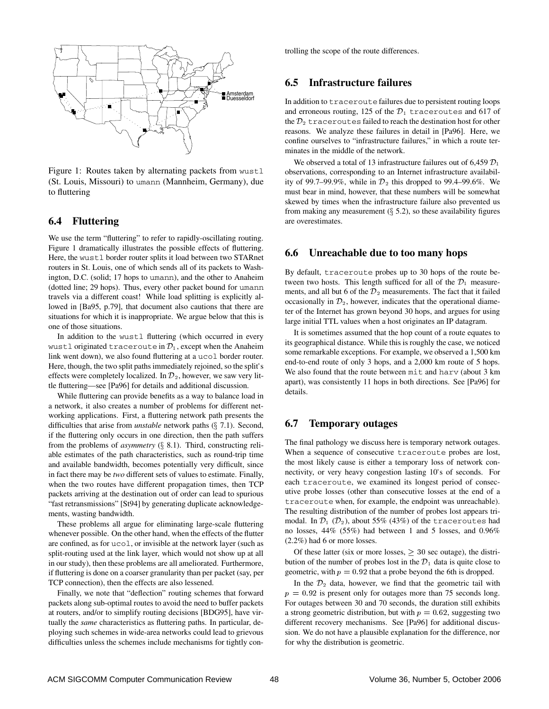

Figure 1: Routes taken by alternating packets from wust1 (St. Louis, Missouri) to umann (Mannheim, Germany), due to fluttering

### **6.4 Fluttering**

We use the term "fluttering" to refer to rapidly-oscillating routing. Figure 1 dramatically illustrates the possible effects of fluttering. Here, the wust 1 border router splits it load between two STARnet routers in St. Louis, one of which sends all of its packets to Washington, D.C. (solid; 17 hops to umann), and the other to Anaheim (dotted line; 29 hops). Thus, every other packet bound for umann travels via a different coast! While load splitting is explicitly allowed in [Ba95, p.79], that document also cautions that there are situations for which it is inappropriate. We argue below that this is one of those situations.

In addition to the wustl fluttering (which occurred in every wustl originated traceroute in  $\mathcal{D}_1$ , except when the Anaheim link went down), we also found fluttering at a ucol border router. Here, though, the two split paths immediately rejoined, so the split's effects were completely localized. In  $\mathcal{D}_2$ , however, we saw very little fluttering—see [Pa96] for details and additional discussion.

While fluttering can provide benefits as a way to balance load in a network, it also creates a number of problems for different networking applications. First, a fluttering network path presents the difficulties that arise from *unstable* network paths (§ 7.1). Second, if the fluttering only occurs in one direction, then the path suffers from the problems of *asymmetry*  $(\S$  8.1). Third, constructing reliable estimates of the path characteristics, such as round-trip time and available bandwidth, becomes potentially very difficult, since in fact there may be *two* different sets of values to estimate. Finally, when the two routes have different propagation times, then TCP packets arriving at the destination out of order can lead to spurious "fast retransmissions" [St94] by generating duplicate acknowledgements, wasting bandwidth.

These problems all argue for eliminating large-scale fluttering whenever possible. On the other hand, when the effects of the flutter are confined, as for ucol, or invisible at the network layer (such as split-routing used at the link layer, which would not show up at all in our study), then these problems are all ameliorated. Furthermore, if fluttering is done on a coarser granularity than per packet (say, per TCP connection), then the effects are also lessened.

Finally, we note that "deflection" routing schemes that forward packets along sub-optimal routes to avoid the need to buffer packets at routers, and/or to simplify routing decisions [BDG95], have virtually the *same* characteristics as fluttering paths. In particular, deploying such schemes in wide-area networks could lead to grievous difficulties unless the schemes include mechanisms for tightly controlling the scope of the route differences.

### **6.5 Infrastructure failures**

In addition to traceroute failures due to persistent routing loops and erroneous routing, 125 of the  $D_1$  traceroutes and 617 of the  $\mathcal{D}_2$  traceroutes failed to reach the destination host for other reasons. We analyze these failures in detail in [Pa96]. Here, we confine ourselves to "infrastructure failures," in which a route terminates in the middle of the network.

We observed a total of 13 infrastructure failures out of 6,459  $\mathcal{D}_1$ observations, corresponding to an Internet infrastructure availability of 99.7–99.9%, while in  $\mathcal{D}_2$  this dropped to 99.4–99.6%. We must bear in mind, however, that these numbers will be somewhat skewed by times when the infrastructure failure also prevented us from making any measurement  $(\S 5.2)$ , so these availability figures are overestimates.

#### **6.6 Unreachable due to too many hops**

By default, traceroute probes up to 30 hops of the route between two hosts. This length sufficed for all of the  $\mathcal{D}_1$  measurements, and all but 6 of the  $\mathcal{D}_2$  measurements. The fact that it failed occasionally in  $\mathcal{D}_2$ , however, indicates that the operational diameter of the Internet has grown beyond 30 hops, and argues for using large initial TTL values when a host originates an IP datagram.

It is sometimes assumed that the hop count of a route equates to its geographical distance. While this is roughly the case, we noticed some remarkable exceptions. For example, we observed a 1,500 km end-to-end route of only 3 hops, and a 2,000 km route of 5 hops. We also found that the route between  $m$ it and harv (about 3 km apart), was consistently 11 hops in both directions. See [Pa96] for details.

#### **6.7 Temporary outages**

The final pathology we discuss here is temporary network outages. When a sequence of consecutive traceroute probes are lost, the most likely cause is either a temporary loss of network connectivity, or very heavy congestion lasting 10's of seconds. For each traceroute, we examined its longest period of consecutive probe losses (other than consecutive losses at the end of a traceroute when, for example, the endpoint was unreachable). The resulting distribution of the number of probes lost appears trimodal. In  $\mathcal{D}_1$  ( $\mathcal{D}_2$ ), about 55% (43%) of the traceroutes had no losses, 44% (55%) had between 1 and 5 losses, and 0.96% (2.2%) had 6 or more losses.

Of these latter (six or more losses,  $\geq 30$  sec outage), the distribution of the number of probes lost in the  $\mathcal{D}_1$  data is quite close to geometric, with  $p = 0.92$  that a probe beyond the 6th is dropped.

In the  $\mathcal{D}_2$  data, however, we find that the geometric tail with  $p = 0.92$  is present only for outages more than 75 seconds long. For outages between 30 and 70 seconds, the duration still exhibits a strong geometric distribution, but with  $p = 0.62$ , suggesting two different recovery mechanisms. See [Pa96] for additional discussion. We do not have a plausible explanation for the difference, nor for why the distribution is geometric.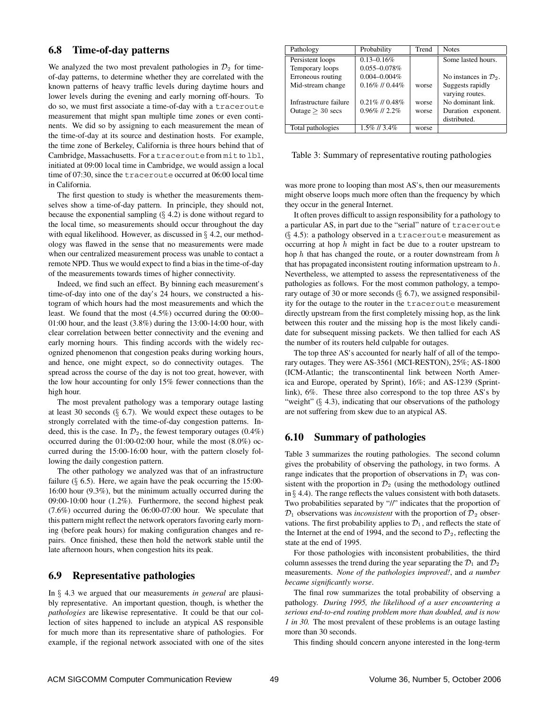# **6.8 Time-of-day patterns**

We analyzed the two most prevalent pathologies in  $\mathcal{D}_2$  for timeof-day patterns, to determine whether they are correlated with the known patterns of heavy traffic levels during daytime hours and lower levels during the evening and early morning off-hours. To do so, we must first associate a time-of-day with a traceroute measurement that might span multiple time zones or even continents. We did so by assigning to each measurement the mean of the time-of-day at its source and destination hosts. For example, the time zone of Berkeley, California is three hours behind that of Cambridge, Massachusetts. For a traceroute from mit to lbl, initiated at 09:00 local time in Cambridge, we would assign a local time of 07:30, since the traceroute occurred at 06:00 local time in California.

The first question to study is whether the measurements themselves show a time-of-day pattern. In principle, they should not, because the exponential sampling  $(\S 4.2)$  is done without regard to the local time, so measurements should occur throughout the day with equal likelihood. However, as discussed in  $\S$  4.2, our methodology was flawed in the sense that no measurements were made when our centralized measurement process was unable to contact a remote NPD. Thus we would expect to find a bias in the time-of-day of the measurements towards times of higher connectivity.

Indeed, we find such an effect. By binning each measurement's time-of-day into one of the day's 24 hours, we constructed a histogram of which hours had the most measurements and which the least. We found that the most (4.5%) occurred during the 00:00– 01:00 hour, and the least (3.8%) during the 13:00-14:00 hour, with clear correlation between better connectivity and the evening and early morning hours. This finding accords with the widely recognized phenomenon that congestion peaks during working hours, and hence, one might expect, so do connectivity outages. The spread across the course of the day is not too great, however, with the low hour accounting for only 15% fewer connections than the high hour.

The most prevalent pathology was a temporary outage lasting at least 30 seconds  $(\S$  6.7). We would expect these outages to be strongly correlated with the time-of-day congestion patterns. Indeed, this is the case. In  $\mathcal{D}_2$ , the fewest temporary outages (0.4%) occurred during the 01:00-02:00 hour, while the most (8.0%) occurred during the 15:00-16:00 hour, with the pattern closely following the daily congestion pattern.

The other pathology we analyzed was that of an infrastructure failure  $(\S 6.5)$ . Here, we again have the peak occurring the 15:00-16:00 hour (9.3%), but the minimum actually occurred during the 09:00-10:00 hour (1.2%). Furthermore, the second highest peak (7.6%) occurred during the 06:00-07:00 hour. We speculate that this pattern might reflect the network operators favoring early morning (before peak hours) for making configuration changes and repairs. Once finished, these then hold the network stable until the late afternoon hours, when congestion hits its peak.

#### **6.9 Representative pathologies**

In  $\S$  4.3 we argued that our measurements *in general* are plausibly representative. An important question, though, is whether the *pathologies* are likewise representative. It could be that our collection of sites happened to include an atypical AS responsible for much more than its representative share of pathologies. For example, if the regional network associated with one of the sites

| Pathology              | Probability          | Trend | <b>Notes</b>                      |
|------------------------|----------------------|-------|-----------------------------------|
| Persistent loops       | $0.13 - 0.16\%$      |       | Some lasted hours.                |
| Temporary loops        | 0.055-0.078%         |       |                                   |
| Erroneous routing      | $0.004 - 0.004\%$    |       | No instances in $\mathcal{D}_2$ . |
| Mid-stream change      | $0.16\%$ // $0.44\%$ | worse | Suggests rapidly                  |
|                        |                      |       | varying routes.                   |
| Infrastructure failure | $0.21\%$ // $0.48\%$ | worse | No dominant link.                 |
| Outage $> 30$ secs     | $0.96\%$ // $2.2\%$  | worse | Duration exponent.                |
|                        |                      |       | distributed.                      |
| Total pathologies      | $1.5\%$ // 3.4%      | worse |                                   |

Table 3: Summary of representative routing pathologies

was more prone to looping than most AS's, then our measurements might observe loops much more often than the frequency by which they occur in the general Internet.

It often proves difficult to assign responsibility for a pathology to a particular AS, in part due to the "serial" nature of traceroute  $(\S 4.5)$ : a pathology observed in a traceroute measurement as occurring at hop  $h$  might in fact be due to a router upstream to hop  $h$  that has changed the route, or a router downstream from  $h$ that has propagated inconsistent routing information upstream to  $h$ . Nevertheless, we attempted to assess the representativeness of the pathologies as follows. For the most common pathology, a temporary outage of 30 or more seconds  $(\S$  6.7), we assigned responsibility for the outage to the router in the traceroute measurement directly upstream from the first completely missing hop, as the link between this router and the missing hop is the most likely candidate for subsequent missing packets. We then tallied for each AS the number of its routers held culpable for outages.

The top three AS's accounted for nearly half of all of the temporary outages. They were AS-3561 (MCI-RESTON), 25%; AS-1800 (ICM-Atlantic; the transcontinental link between North America and Europe, operated by Sprint), 16%; and AS-1239 (Sprintlink), 6%. These three also correspond to the top three AS's by "weight"  $(\S 4.3)$ , indicating that our observations of the pathology are not suffering from skew due to an atypical AS.

### **6.10 Summary of pathologies**

Table 3 summarizes the routing pathologies. The second column gives the probability of observing the pathology, in two forms. A range indicates that the proportion of observations in  $\mathcal{D}_1$  was consistent with the proportion in  $\mathcal{D}_2$  (using the methodology outlined in  $\S$  4.4). The range reflects the values consistent with both datasets. Two probabilities separated by "//" indicates that the proportion of  $\mathcal{D}_1$  observations was *inconsistent* with the proportion of  $\mathcal{D}_2$  observations. The first probability applies to  $\mathcal{D}_1$ , and reflects the state of the Internet at the end of 1994, and the second to  $\mathcal{D}_2$ , reflecting the state at the end of 1995.

For those pathologies with inconsistent probabilities, the third column assesses the trend during the year separating the  $\mathcal{D}_1$  and  $\mathcal{D}_2$ measurements. *None of the pathologies improved!*, and *a number became significantly worse*.

The final row summarizes the total probability of observing a pathology. *During 1995, the likelihood of a user encountering a serious end-to-end routing problem more than doubled, and is now 1 in 30.* The most prevalent of these problems is an outage lasting more than 30 seconds.

This finding should concern anyone interested in the long-term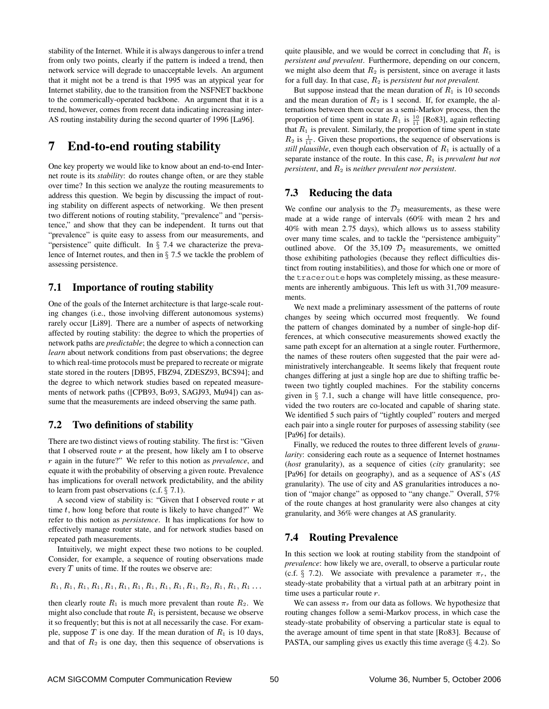stability of the Internet. While it is always dangerous to infer a trend from only two points, clearly if the pattern is indeed a trend, then network service will degrade to unacceptable levels. An argument that it might not be a trend is that 1995 was an atypical year for Internet stability, due to the transition from the NSFNET backbone to the commerically-operated backbone. An argument that it is a trend, however, comes from recent data indicating increasing inter-AS routing instability during the second quarter of 1996 [La96].

# **7 End-to-end routing stability**

One key property we would like to know about an end-to-end Internet route is its *stability*: do routes change often, or are they stable over time? In this section we analyze the routing measurements to address this question. We begin by discussing the impact of routing stability on different aspects of networking. We then present two different notions of routing stability, "prevalence" and "persistence," and show that they can be independent. It turns out that "prevalence" is quite easy to assess from our measurements, and "persistence" quite difficult. In  $\S$  7.4 we characterize the prevalence of Internet routes, and then in  $\S$  7.5 we tackle the problem of assessing persistence.

# **7.1 Importance of routing stability**

One of the goals of the Internet architecture is that large-scale routing changes (i.e., those involving different autonomous systems) rarely occur [Li89]. There are a number of aspects of networking affected by routing stability: the degree to which the properties of network paths are *predictable*; the degree to which a connection can *learn* about network conditions from past observations; the degree to which real-time protocols must be prepared to recreate or migrate state stored in the routers [DB95, FBZ94, ZDESZ93, BCS94]; and the degree to which network studies based on repeated measurements of network paths ([CPB93, Bo93, SAGJ93, Mu94]) can assume that the measurements are indeed observing the same path.

### **7.2 Two definitions of stability**

There are two distinct views of routing stability. The first is: "Given that I observed route  $r$  at the present, how likely am I to observe <sup>r</sup> again in the future?" We refer to this notion as *prevalence*, and equate it with the probability of observing a given route. Prevalence has implications for overall network predictability, and the ability to learn from past observations (c.f.  $\S$  7.1).

A second view of stability is: "Given that I observed route  $r$  at time  $t$ , how long before that route is likely to have changed?" We refer to this notion as *persistence*. It has implications for how to effectively manage router state, and for network studies based on repeated path measurements.

Intuitively, we might expect these two notions to be coupled. Consider, for example, a sequence of routing observations made every  $T$  units of time. If the routes we observe are:

R- R - R- R- R- R- R- R - R- R- R- R- R- R-R

then clearly route  $R_1$  is much more prevalent than route  $R_2$ . We might also conclude that route  $R_1$  is persistent, because we observe it so frequently; but this is not at all necessarily the case. For example, suppose  $T$  is one day. If the mean duration of  $R_1$  is 10 days, and that of  $R_2$  is one day, then this sequence of observations is

quite plausible, and we would be correct in concluding that  $R_1$  is *persistent and prevalent*. Furthermore, depending on our concern, we might also deem that  $R_2$  is persistent, since on average it lasts for a full day. In that case,  $R_2$  is *persistent but not prevalent*.

But suppose instead that the mean duration of  $R_1$  is 10 seconds and the mean duration of  $R_2$  is 1 second. If, for example, the alternations between them occur as a semi-Markov process, then the proportion of time spent in state  $R_1$  is  $\frac{10}{11}$  [Ro83], again reflecting that  $R_1$  is prevalent. Similarly, the proportion of time spent in state  $R_2$  is  $\frac{1}{11}$ . Given these proportions, the sequence of observations is *still plausible*, even though each observation of  $R_1$  is actually of a separate instance of the route. In this case,  $R_1$  is *prevalent but not persistent, and R*<sub>2</sub> is *neither prevalent nor persistent.* 

# **7.3 Reducing the data**

We confine our analysis to the  $\mathcal{D}_2$  measurements, as these were made at a wide range of intervals (60% with mean 2 hrs and 40% with mean 2.75 days), which allows us to assess stability over many time scales, and to tackle the "persistence ambiguity" outlined above. Of the  $35,109$   $\mathcal{D}_2$  measurements, we omitted those exhibiting pathologies (because they reflect difficulties distinct from routing instabilities), and those for which one or more of the traceroute hops was completely missing, as these measurements are inherently ambiguous. This left us with 31,709 measurements.

We next made a preliminary assessment of the patterns of route changes by seeing which occurred most frequently. We found the pattern of changes dominated by a number of single-hop differences, at which consecutive measurements showed exactly the same path except for an alternation at a single router. Furthermore, the names of these routers often suggested that the pair were administratively interchangeable. It seems likely that frequent route changes differing at just a single hop are due to shifting traffic between two tightly coupled machines. For the stability concerns given in  $\S$  7.1, such a change will have little consequence, provided the two routers are co-located and capable of sharing state. We identified 5 such pairs of "tightly coupled" routers and merged each pair into a single router for purposes of assessing stability (see [Pa96] for details).

Finally, we reduced the routes to three different levels of *granularity*: considering each route as a sequence of Internet hostnames (*host* granularity), as a sequence of cities (*city* granularity; see [Pa96] for details on geography), and as a sequence of AS's (*AS* granularity). The use of city and AS granularities introduces a notion of "major change" as opposed to "any change." Overall, 57% of the route changes at host granularity were also changes at city granularity, and 36% were changes at AS granularity.

# **7.4 Routing Prevalence**

In this section we look at routing stability from the standpoint of *prevalence*: how likely we are, overall, to observe a particular route (c.f.  $\S$  7.2). We associate with prevalence a parameter  $\pi_r$ , the steady-state probability that a virtual path at an arbitrary point in time uses a particular route <sup>r</sup>.

We can assess  $\pi_r$  from our data as follows. We hypothesize that routing changes follow a semi-Markov process, in which case the steady-state probability of observing a particular state is equal to the average amount of time spent in that state [Ro83]. Because of PASTA, our sampling gives us exactly this time average  $(\S 4.2)$ . So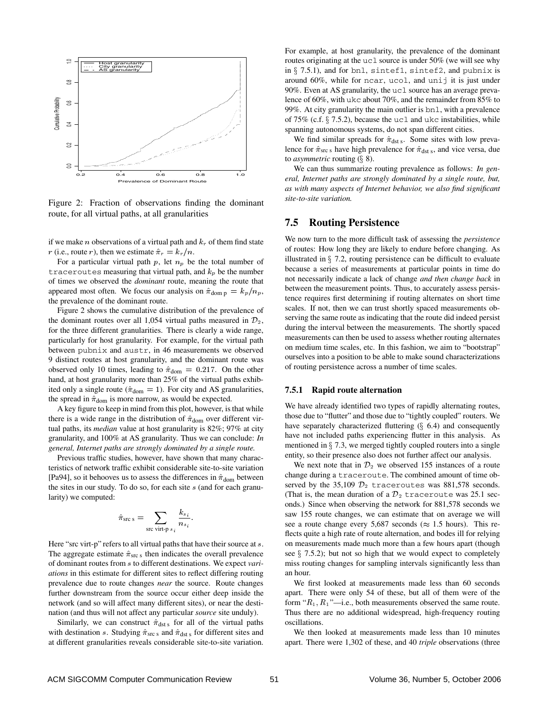

Figure 2: Fraction of observations finding the dominant route, for all virtual paths, at all granularities

if we make *n* observations of a virtual path and  $k_r$  of them find state r (i.e., route r), then we estimate  $\hat{\pi}_r = k_r/n$ .

For a particular virtual path p, let  $n_p$  be the total number of traceroutes measuring that virtual path, and  $k_p$  be the number of times we observed the *dominant* route, meaning the route that appeared most often. We focus our analysis on  $\hat{\pi}_{\text{dom } p} = k_p/n_p$ , the prevalence of the dominant route.

Figure 2 shows the cumulative distribution of the prevalence of the dominant routes over all 1,054 virtual paths measured in  $\mathcal{D}_2$ , for the three different granularities. There is clearly a wide range, particularly for host granularity. For example, for the virtual path between pubnix and austr, in 46 measurements we observed 9 distinct routes at host granularity, and the dominant route was observed only 10 times, leading to  $\hat{\pi}_{\text{dom}} = 0.217$ . On the other hand, at host granularity more than 25% of the virtual paths exhibited only a single route ( $\hat{\pi}_{\text{dom}} = 1$ ). For city and AS granularities, the spread in  $\hat{\pi}_{dom}$  is more narrow, as would be expected.

A key figure to keep in mind from this plot, however, is that while there is a wide range in the distribution of  $\hat{\pi}_{dom}$  over different virtual paths, its *median* value at host granularity is 82%; 97% at city granularity, and 100% at AS granularity. Thus we can conclude: *In general, Internet paths are strongly dominated by a single route.*

Previous traffic studies, however, have shown that many characteristics of network traffic exhibit considerable site-to-site variation [Pa94], so it behooves us to assess the differences in  $\hat{\pi}_{dom}$  between the sites in our study. To do so, for each site  $s$  (and for each granularity) we computed:

$$
\hat{\pi}_{\text{src s}} = \sum_{\text{src with-p } s_i} \frac{k_{s_i}}{n_{s_i}}.
$$

Here "src virt-p" refers to all virtual paths that have their source at s. The aggregate estimate  $\hat{\pi}_{src}$  s then indicates the overall prevalence of dominant routes from <sup>s</sup> to different destinations. We expect *variations* in this estimate for different sites to reflect differing routing prevalence due to route changes *near* the source. Route changes further downstream from the source occur either deep inside the network (and so will affect many different sites), or near the destination (and thus will not affect any particular *source* site unduly).

Similarly, we can construct  $\hat{\pi}_{dsts}$  for all of the virtual paths with destination s. Studying  $\hat{\pi}_{src s}$  and  $\hat{\pi}_{dst s}$  for different sites and at different granularities reveals considerable site-to-site variation. For example, at host granularity, the prevalence of the dominant routes originating at the ucl source is under 50% (we will see why in  $\S$  7.5.1), and for bnl, sintef1, sintef2, and pubnix is around 60%, while for ncar, ucol, and unij it is just under 90%. Even at AS granularity, the ucl source has an average prevalence of 60%, with ukc about 70%, and the remainder from 85% to 99%. At city granularity the main outlier is bnl, with a prevalence of 75% (c.f.  $\S$  7.5.2), because the ucl and ukc instabilities, while spanning autonomous systems, do not span different cities.

We find similar spreads for  $\hat{\pi}_{dst s}$ . Some sites with low prevalence for  $\hat{\pi}_{src s}$  have high prevalence for  $\hat{\pi}_{dst s}$ , and vice versa, due to *asymmetric* routing (§ 8).

We can thus summarize routing prevalence as follows: *In general, Internet paths are strongly dominated by a single route, but, as with many aspects of Internet behavior, we also find significant site-to-site variation.*

### **7.5 Routing Persistence**

We now turn to the more difficult task of assessing the *persistence* of routes: How long they are likely to endure before changing. As illustrated in  $\S$  7.2, routing persistence can be difficult to evaluate because a series of measurements at particular points in time do not necessarily indicate a lack of change *and then change back* in between the measurement points. Thus, to accurately assess persistence requires first determining if routing alternates on short time scales. If not, then we can trust shortly spaced measurements observing the same route as indicating that the route did indeed persist during the interval between the measurements. The shortly spaced measurements can then be used to assess whether routing alternates on medium time scales, etc. In this fashion, we aim to "bootstrap" ourselves into a position to be able to make sound characterizations of routing persistence across a number of time scales.

#### **7.5.1 Rapid route alternation**

We have already identified two types of rapidly alternating routes, those due to "flutter" and those due to "tightly coupled" routers. We have separately characterized fluttering  $(\S$  6.4) and consequently have not included paths experiencing flutter in this analysis. As mentioned in  $\S$  7.3, we merged tightly coupled routers into a single entity, so their presence also does not further affect our analysis.

We next note that in  $\mathcal{D}_2$  we observed 155 instances of a route change during a traceroute. The combined amount of time observed by the 35,109  $\mathcal{D}_2$  traceroutes was 881,578 seconds. (That is, the mean duration of a  $\mathcal{D}_2$  traceroute was 25.1 seconds.) Since when observing the network for 881,578 seconds we saw 155 route changes, we can estimate that on average we will see a route change every 5,687 seconds ( $\approx 1.5$  hours). This reflects quite a high rate of route alternation, and bodes ill for relying on measurements made much more than a few hours apart (though see  $\S$  7.5.2); but not so high that we would expect to completely miss routing changes for sampling intervals significantly less than an hour.

We first looked at measurements made less than 60 seconds apart. There were only 54 of these, but all of them were of the form " $R_1, R_1$ "—i.e., both measurements observed the same route. Thus there are no additional widespread, high-frequency routing oscillations.

We then looked at measurements made less than 10 minutes apart. There were 1,302 of these, and 40 *triple* observations (three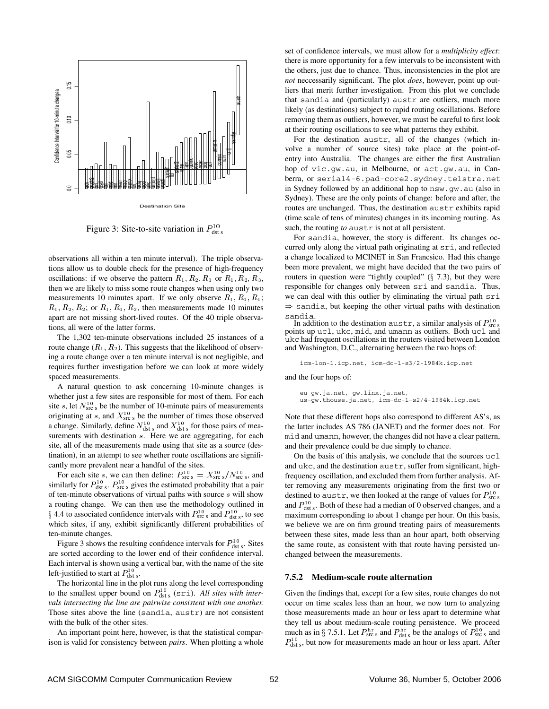

Figure 3: Site-to-site variation in  $P_{\text{dst s}}^{10}$ 

observations all within a ten minute interval). The triple observations allow us to double check for the presence of high-frequency oscillations: if we observe the pattern  $R_1, R_2, R_1$  or  $R_1, R_2, R_3$ , then we are likely to miss some route changes when using only two measurements 10 minutes apart. If we only observe  $R_1, R_1, R_1$ ;  $R_1, R_2, R_2$ ; or  $R_1, R_1, R_2$ , then measurements made 10 minutes apart are not missing short-lived routes. Of the 40 triple observations, all were of the latter forms.

The 1,302 ten-minute observations included 25 instances of a route change  $(R_1, R_2)$ . This suggests that the likelihood of observing a route change over a ten minute interval is not negligible, and requires further investigation before we can look at more widely spaced measurements.

A natural question to ask concerning 10-minute changes is whether just a few sites are responsible for most of them. For each site s, let  $N_{\rm src}^{10}$  s be the number of 10-minute pairs of measurements originating at s, and  $X_{\text{src}}^{10}$  s be the number of times those observed a change. Similarly, define  $N_{\text{dst s}}^{\text{10}}$  and  $X_{\text{dst s}}^{\text{10}}$  for those pairs of measurements with destination  $s$ . Here we are aggregating, for each site, all of the measurements made using that site as a source (destination), in an attempt to see whether route oscillations are significantly more prevalent near a handful of the sites.

For each site s, we can then define:  $P_{\text{src}}^{10} = X_{\text{src}}^{10} / N_{\text{src}}^{10}$  and similarly for  $P_{\text{dst s}}^{10}$ .  $P_{\text{src s}}^{10}$  gives the estimated probability that a pair of ten-minute observations of virtual paths with source <sup>s</sup> will show a routing change. We can then use the methodology outlined in § 4.4 to associated confidence intervals with  $P_{\rm src}^{10}$  s and  $P_{\rm dst}^{10}$  s, to see which sites, if any, exhibit significantly different probabilities of ten-minute changes.

Figure 3 shows the resulting confidence intervals for  $P_{\text{dst s}}^{\text{10}}$ . Sites are sorted according to the lower end of their confidence interval. Each interval is shown using a vertical bar, with the name of the site left-justified to start at  $P_{\text{dst s}}^{10}$ .

The horizontal line in the plot runs along the level corresponding to the smallest upper bound on  $P_{\text{dst s}}^{10}$  (sri). *All sites with intervals intersecting the line are pairwise consistent with one another.* Those sites above the line (sandia, austr) are not consistent with the bulk of the other sites.

An important point here, however, is that the statistical comparison is valid for consistency between *pairs*. When plotting a whole

set of confidence intervals, we must allow for a *multiplicity effect*: there is more opportunity for a few intervals to be inconsistent with the others, just due to chance. Thus, inconsistencies in the plot are *not* neccessarily significant. The plot *does*, however, point up outliers that merit further investigation. From this plot we conclude that sandia and (particularly) austr are outliers, much more likely (as destinations) subject to rapid routing oscillations. Before removing them as outliers, however, we must be careful to first look at their routing oscillations to see what patterns they exhibit.

For the destination austr, all of the changes (which involve a number of source sites) take place at the point-ofentry into Australia. The changes are either the first Australian hop of vic.gw.au, in Melbourne, or act.gw.au, in Canberra, or serial4-6.pad-core2.sydney.telstra.net in Sydney followed by an additional hop to nsw.gw.au (also in Sydney). These are the only points of change: before and after, the routes are unchanged. Thus, the destination austr exhibits rapid (time scale of tens of minutes) changes in its incoming routing. As such, the routing *to* austr is not at all persistent.

For sandia, however, the story is different. Its changes occurred only along the virtual path originating at sri, and reflected a change localized to MCINET in San Francsico. Had this change been more prevalent, we might have decided that the two pairs of routers in question were "tightly coupled"  $(\S$  7.3), but they were responsible for changes only between sri and sandia. Thus, we can deal with this outlier by eliminating the virtual path sri  $\Rightarrow$  sandia, but keeping the other virtual paths with destination

sandia.<br>In addition to the destination  $\text{austr}, \text{a similar analysis of } P_{\text{src}}^{10}$ points up ucl, ukc, mid, and umann as outliers. Both ucl and ukc had frequent oscillations in the routers visited between London and Washington, D.C., alternating between the two hops of:

```
icm-lon-1.icp.net, icm-dc-1-s3/2-1984k.icp.net
```
and the four hops of:

eu-gw.ja.net, gw.linx.ja.net, us-gw.thouse.ja.net, icm-dc-1-s2/4-1984k.icp.net

Note that these different hops also correspond to different AS's, as the latter includes AS 786 (JANET) and the former does not. For mid and umann, however, the changes did not have a clear pattern, and their prevalence could be due simply to chance.

On the basis of this analysis, we conclude that the sources ucl and ukc, and the destination austr, suffer from significant, highfrequency oscillation, and excluded them from further analysis. After removing any measurements originating from the first two or destined to austr, we then looked at the range of values for  $P_{\rm src}^{10}$  s and  $P_{\text{dst s}}^{10}$ . Both of these had a median of 0 observed changes, and a maximum corresponding to about 1 change per hour. On this basis, we believe we are on firm ground treating pairs of measurements between these sites, made less than an hour apart, both observing the same route, as consistent with that route having persisted unchanged between the measurements.

#### **7.5.2 Medium-scale route alternation**

Given the findings that, except for a few sites, route changes do not occur on time scales less than an hour, we now turn to analyzing those measurements made an hour or less apart to determine what they tell us about medium-scale routing persistence. We proceed much as in  $\S 7.5.1$ . Let  $P_{\text{src}}^{\text{hr}}$  and  $P_{\text{dst s}}^{\text{hr}}$  be the analogs of  $P_{\text{src s}}^{\text{10}}$  and  $P_{\text{dst s}}^{\text{10}}$ , but now for measurements made an hour or less apart. After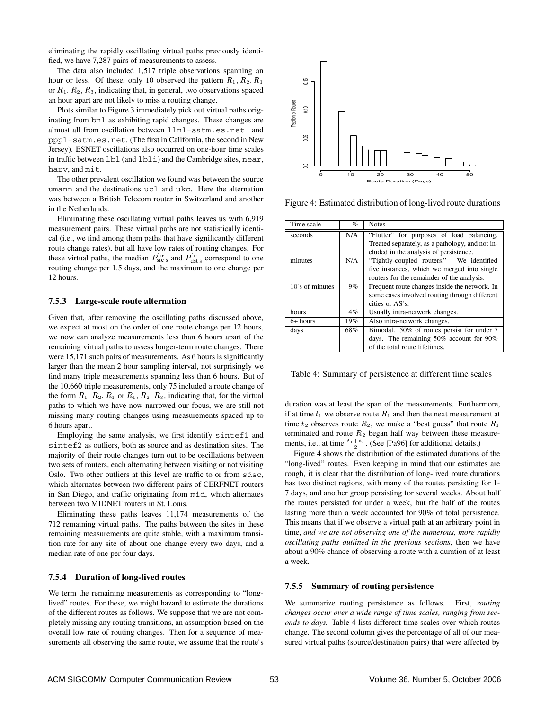eliminating the rapidly oscillating virtual paths previously identified, we have 7,287 pairs of measurements to assess.

The data also included 1,517 triple observations spanning an hour or less. Of these, only 10 observed the pattern  $R_1, R_2, R_1$ or  $R_1, R_2, R_3$ , indicating that, in general, two observations spaced an hour apart are not likely to miss a routing change.

Plots similar to Figure 3 immediately pick out virtual paths originating from bnl as exhibiting rapid changes. These changes are almost all from oscillation between llnl-satm.es.net and pppl-satm.es.net. (The first in California, the second in New Jersey). ESNET oscillations also occurred on one-hour time scales in traffic between lbl (and lbli) and the Cambridge sites, near, harv, and mit.

The other prevalent oscillation we found was between the source umann and the destinations ucl and ukc. Here the alternation was between a British Telecom router in Switzerland and another in the Netherlands.

Eliminating these oscillating virtual paths leaves us with 6,919 measurement pairs. These virtual paths are not statistically identical (i.e., we find among them paths that have significantly different route change rates), but all have low rates of routing changes. For these virtual paths, the median  $P_{\text{src}}^{\text{hr}}$  and  $P_{\text{dst}}^{\text{hr}}$  correspond to one routing change per 1.5 days, and the maximum to one change per 12 hours.

#### **7.5.3 Large-scale route alternation**

Given that, after removing the oscillating paths discussed above, we expect at most on the order of one route change per 12 hours, we now can analyze measurements less than 6 hours apart of the remaining virtual paths to assess longer-term route changes. There were 15,171 such pairs of measurements. As 6 hours is significantly larger than the mean 2 hour sampling interval, not surprisingly we find many triple measurements spanning less than 6 hours. But of the 10,660 triple measurements, only 75 included a route change of the form  $R_1, R_2, R_1$  or  $R_1, R_2, R_3$ , indicating that, for the virtual paths to which we have now narrowed our focus, we are still not missing many routing changes using measurements spaced up to 6 hours apart.

Employing the same analysis, we first identify sintef1 and sintef2 as outliers, both as source and as destination sites. The majority of their route changes turn out to be oscillations between two sets of routers, each alternating between visiting or not visiting Oslo. Two other outliers at this level are traffic to or from sdsc, which alternates between two different pairs of CERFNET routers in San Diego, and traffic originating from mid, which alternates between two MIDNET routers in St. Louis.

Eliminating these paths leaves 11,174 measurements of the 712 remaining virtual paths. The paths between the sites in these remaining measurements are quite stable, with a maximum transition rate for any site of about one change every two days, and a median rate of one per four days.

#### **7.5.4 Duration of long-lived routes**

We term the remaining measurements as corresponding to "longlived" routes. For these, we might hazard to estimate the durations of the different routes as follows. We suppose that we are not completely missing any routing transitions, an assumption based on the overall low rate of routing changes. Then for a sequence of measurements all observing the same route, we assume that the route's



Figure 4: Estimated distribution of long-lived route durations

| Time scale        | %   | <b>Notes</b>                                    |
|-------------------|-----|-------------------------------------------------|
| seconds           | N/A | "Flutter" for purposes of load balancing.       |
|                   |     | Treated separately, as a pathology, and not in- |
|                   |     | cluded in the analysis of persistence.          |
| minutes           | N/A | "Tightly-coupled routers." We identified        |
|                   |     | five instances, which we merged into single     |
|                   |     | routers for the remainder of the analysis.      |
| $10's$ of minutes | 9%  | Frequent route changes inside the network. In   |
|                   |     | some cases involved routing through different   |
|                   |     | cities or AS's.                                 |
| hours             | 4%  | Usually intra-network changes.                  |
| $6+ hours$        | 19% | Also intra-network changes.                     |
| days              | 68% | Bimodal. 50% of routes persist for under 7      |
|                   |     | days. The remaining 50% account for 90%         |
|                   |     | of the total route lifetimes.                   |

Table 4: Summary of persistence at different time scales

duration was at least the span of the measurements. Furthermore, if at time  $t_1$  we observe route  $R_1$  and then the next measurement at time  $t_2$  observes route  $R_2$ , we make a "best guess" that route  $R_1$ terminated and route  $R_2$  began half way between these measurements, i.e., at time  $\frac{t_1+t_2}{2}$ . (See [Pa96] for additional details.)

Figure 4 shows the distribution of the estimated durations of the "long-lived" routes. Even keeping in mind that our estimates are rough, it is clear that the distribution of long-lived route durations has two distinct regions, with many of the routes persisting for 1- 7 days, and another group persisting for several weeks. About half the routes persisted for under a week, but the half of the routes lasting more than a week accounted for 90% of total persistence. This means that if we observe a virtual path at an arbitrary point in time, *and we are not observing one of the numerous, more rapidly oscillating paths outlined in the previous sections*, then we have about a 90% chance of observing a route with a duration of at least a week.

#### **7.5.5 Summary of routing persistence**

We summarize routing persistence as follows. First, *routing changes occur over a wide range of time scales, ranging from seconds to days.* Table 4 lists different time scales over which routes change. The second column gives the percentage of all of our measured virtual paths (source/destination pairs) that were affected by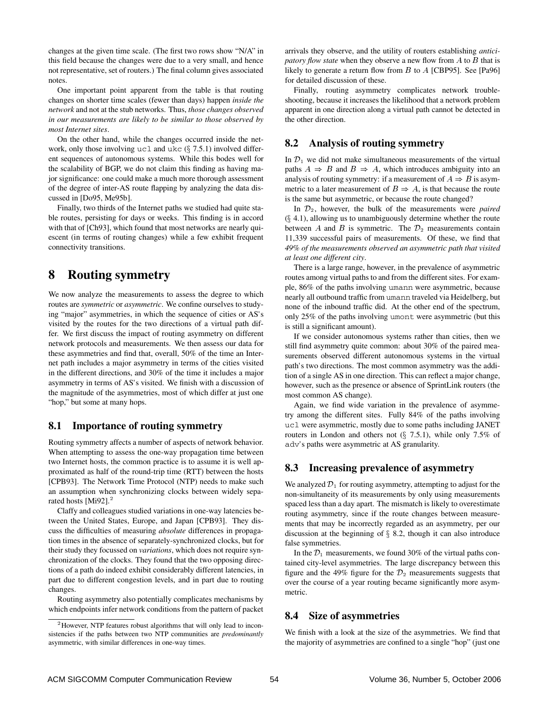changes at the given time scale. (The first two rows show "N/A" in this field because the changes were due to a very small, and hence not representative, set of routers.) The final column gives associated notes.

One important point apparent from the table is that routing changes on shorter time scales (fewer than days) happen *inside the network* and not at the stub networks. Thus, *those changes observed in our measurements are likely to be similar to those observed by most Internet sites*.

On the other hand, while the changes occurred inside the network, only those involving ucl and ukc  $(\S$  7.5.1) involved different sequences of autonomous systems. While this bodes well for the scalability of BGP, we do not claim this finding as having major significance: one could make a much more thorough assessment of the degree of inter-AS route flapping by analyzing the data discussed in [Do95, Me95b].

Finally, two thirds of the Internet paths we studied had quite stable routes, persisting for days or weeks. This finding is in accord with that of [Ch93], which found that most networks are nearly quiescent (in terms of routing changes) while a few exhibit frequent connectivity transitions.

# **8 Routing symmetry**

We now analyze the measurements to assess the degree to which routes are *symmetric* or *asymmetric*. We confine ourselves to studying "major" asymmetries, in which the sequence of cities or AS's visited by the routes for the two directions of a virtual path differ. We first discuss the impact of routing asymmetry on different network protocols and measurements. We then assess our data for these asymmetries and find that, overall, 50% of the time an Internet path includes a major asymmetry in terms of the cities visited in the different directions, and 30% of the time it includes a major asymmetry in terms of AS's visited. We finish with a discussion of the magnitude of the asymmetries, most of which differ at just one "hop," but some at many hops.

# **8.1 Importance of routing symmetry**

Routing symmetry affects a number of aspects of network behavior. When attempting to assess the one-way propagation time between two Internet hosts, the common practice is to assume it is well approximated as half of the round-trip time (RTT) between the hosts [CPB93]. The Network Time Protocol (NTP) needs to make such an assumption when synchronizing clocks between widely separated hosts [Mi92].<sup>2</sup>

Claffy and colleagues studied variations in one-way latencies between the United States, Europe, and Japan [CPB93]. They discuss the difficulties of measuring *absolute* differences in propagation times in the absence of separately-synchronized clocks, but for their study they focussed on *variations*, which does not require synchronization of the clocks. They found that the two opposing directions of a path do indeed exhibit considerably different latencies, in part due to different congestion levels, and in part due to routing changes.

Routing asymmetry also potentially complicates mechanisms by which endpoints infer network conditions from the pattern of packet

arrivals they observe, and the utility of routers establishing *anticipatory flow state* when they observe a new flow from A to B that is likely to generate a return flow from  $B$  to  $A$  [CBP95]. See [Pa96] for detailed discussion of these.

Finally, routing asymmetry complicates network troubleshooting, because it increases the likelihood that a network problem apparent in one direction along a virtual path cannot be detected in the other direction.

# **8.2 Analysis of routing symmetry**

In  $\mathcal{D}_1$  we did not make simultaneous measurements of the virtual paths  $A \Rightarrow B$  and  $B \Rightarrow A$ , which introduces ambiguity into an analysis of routing symmetry: if a measurement of  $A \Rightarrow B$  is asymmetric to a later measurement of  $B \Rightarrow A$ , is that because the route is the same but asymmetric, or because the route changed?

In  $\mathcal{D}_2$ , however, the bulk of the measurements were *paired*  $(\S 4.1)$ , allowing us to unambiguously determine whether the route between A and B is symmetric. The  $\mathcal{D}_2$  measurements contain 11,339 successful pairs of measurements. Of these, we find that *49% of the measurements observed an asymmetric path that visited at least one different city*.

There is a large range, however, in the prevalence of asymmetric routes among virtual paths to and from the different sites. For example, 86% of the paths involving umann were asymmetric, because nearly all outbound traffic from umann traveled via Heidelberg, but none of the inbound traffic did. At the other end of the spectrum, only 25% of the paths involving umont were asymmetric (but this is still a significant amount).

If we consider autonomous systems rather than cities, then we still find asymmetry quite common: about 30% of the paired measurements observed different autonomous systems in the virtual path's two directions. The most common asymmetry was the addition of a single AS in one direction. This can reflect a major change, however, such as the presence or absence of SprintLink routers (the most common AS change).

Again, we find wide variation in the prevalence of asymmetry among the different sites. Fully 84% of the paths involving ucl were asymmetric, mostly due to some paths including JANET routers in London and others not  $(\S$  7.5.1), while only 7.5% of adv's paths were asymmetric at AS granularity.

# **8.3 Increasing prevalence of asymmetry**

We analyzed  $\mathcal{D}_1$  for routing asymmetry, attempting to adjust for the non-simultaneity of its measurements by only using measurements spaced less than a day apart. The mismatch is likely to overestimate routing asymmetry, since if the route changes between measurements that may be incorrectly regarded as an asymmetry, per our discussion at the beginning of  $\S$  8.2, though it can also introduce false symmetries.

In the  $\mathcal{D}_1$  measurements, we found 30% of the virtual paths contained city-level asymmetries. The large discrepancy between this figure and the 49% figure for the  $\mathcal{D}_2$  measurements suggests that over the course of a year routing became significantly more asymmetric.

# **8.4 Size of asymmetries**

We finish with a look at the size of the asymmetries. We find that the majority of asymmetries are confined to a single "hop" (just one

<sup>&</sup>lt;sup>2</sup> However, NTP features robust algorithms that will only lead to inconsistencies if the paths between two NTP communities are *predominantly* asymmetric, with similar differences in one-way times.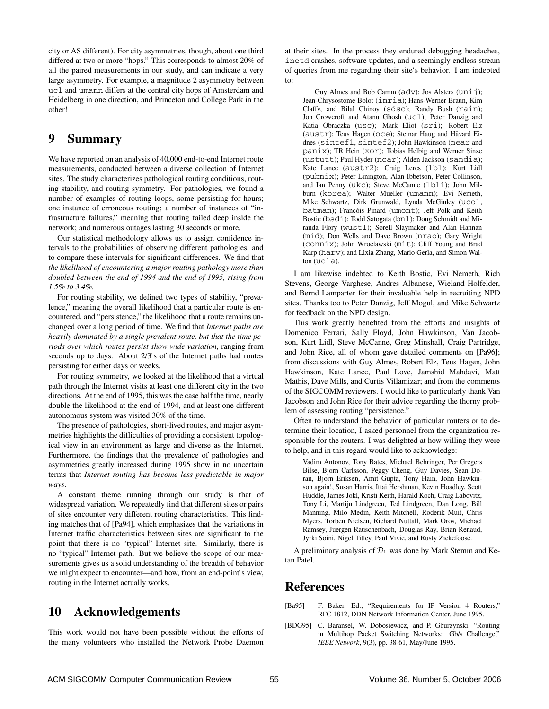city or AS different). For city asymmetries, though, about one third differed at two or more "hops." This corresponds to almost 20% of all the paired measurements in our study, and can indicate a very large asymmetry. For example, a magnitude 2 asymmetry between ucl and umann differs at the central city hops of Amsterdam and Heidelberg in one direction, and Princeton and College Park in the other!

# **9 Summary**

We have reported on an analysis of 40,000 end-to-end Internet route measurements, conducted between a diverse collection of Internet sites. The study characterizes pathological routing conditions, routing stability, and routing symmetry. For pathologies, we found a number of examples of routing loops, some persisting for hours; one instance of erroneous routing; a number of instances of "infrastructure failures," meaning that routing failed deep inside the network; and numerous outages lasting 30 seconds or more.

Our statistical methodology allows us to assign confidence intervals to the probabilities of observing different pathologies, and to compare these intervals for significant differences. We find that *the likelihood of encountering a major routing pathology more than doubled between the end of 1994 and the end of 1995, rising from 1.5% to 3.4%.*

For routing stability, we defined two types of stability, "prevalence," meaning the overall likelihood that a particular route is encountered, and "persistence," the likelihood that a route remains unchanged over a long period of time. We find that *Internet paths are heavily dominated by a single prevalent route, but that the time periods over which routes persist show wide variation*, ranging from seconds up to days. About 2/3's of the Internet paths had routes persisting for either days or weeks.

For routing symmetry, we looked at the likelihood that a virtual path through the Internet visits at least one different city in the two directions. At the end of 1995, this was the case half the time, nearly double the likelihood at the end of 1994, and at least one different autonomous system was visited 30% of the time.

The presence of pathologies, short-lived routes, and major asymmetries highlights the difficulties of providing a consistent topological view in an environment as large and diverse as the Internet. Furthermore, the findings that the prevalence of pathologies and asymmetries greatly increased during 1995 show in no uncertain terms that *Internet routing has become less predictable in major ways*.

A constant theme running through our study is that of widespread variation. We repeatedly find that different sites or pairs of sites encounter very different routing characteristics. This finding matches that of [Pa94], which emphasizes that the variations in Internet traffic characteristics between sites are significant to the point that there is no "typical" Internet site. Similarly, there is no "typical" Internet path. But we believe the scope of our measurements gives us a solid understanding of the breadth of behavior we might expect to encounter—and how, from an end-point's view, routing in the Internet actually works.

# **10 Acknowledgements**

This work would not have been possible without the efforts of the many volunteers who installed the Network Probe Daemon

at their sites. In the process they endured debugging headaches, inetd crashes, software updates, and a seemingly endless stream of queries from me regarding their site's behavior. I am indebted to:

Guy Almes and Bob Camm ( $adv$ ); Jos Alsters ( $unij$ ); Jean-Chrysostome Bolot (inria); Hans-Werner Braun, Kim Claffy, and Bilal Chinoy (sdsc); Randy Bush (rain); Jon Crowcroft and Atanu Ghosh (ucl); Peter Danzig and Katia Obraczka (usc); Mark Eliot (sri); Robert Elz (austr); Teus Hagen (oce); Steinar Haug and Håvard Eidnes (sintef1, sintef2); John Hawkinson (near and panix); TR Hein (xor); Tobias Helbig and Werner Sinze (ustutt); Paul Hyder (ncar); Alden Jackson (sandia); Kate Lance (austr2); Craig Leres (lbl); Kurt Lidl (pubnix); Peter Linington, Alan Ibbetson, Peter Collinson, and Ian Penny (ukc); Steve McCanne (1b1i); John Milburn (korea); Walter Mueller (umann); Evi Nemeth, Mike Schwartz, Dirk Grunwald, Lynda McGinley (ucol, batman); Francóis Pinard (umont); Jeff Polk and Keith Bostic (bsdi); Todd Satogata (bnl); Doug Schmidt and Miranda Flory (wustl); Sorell Slaymaker and Alan Hannan (mid); Don Wells and Dave Brown (nrao); Gary Wright (connix); John Wroclawski (mit); Cliff Young and Brad Karp (harv); and Lixia Zhang, Mario Gerla, and Simon Walton (ucla).

I am likewise indebted to Keith Bostic, Evi Nemeth, Rich Stevens, George Varghese, Andres Albanese, Wieland Holfelder, and Bernd Lamparter for their invaluable help in recruiting NPD sites. Thanks too to Peter Danzig, Jeff Mogul, and Mike Schwartz for feedback on the NPD design.

This work greatly benefited from the efforts and insights of Domenico Ferrari, Sally Floyd, John Hawkinson, Van Jacobson, Kurt Lidl, Steve McCanne, Greg Minshall, Craig Partridge, and John Rice, all of whom gave detailed comments on [Pa96]; from discussions with Guy Almes, Robert Elz, Teus Hagen, John Hawkinson, Kate Lance, Paul Love, Jamshid Mahdavi, Matt Mathis, Dave Mills, and Curtis Villamizar; and from the comments of the SIGCOMM reviewers. I would like to particularly thank Van Jacobson and John Rice for their advice regarding the thorny problem of assessing routing "persistence."

Often to understand the behavior of particular routers or to determine their location, I asked personnel from the organization responsible for the routers. I was delighted at how willing they were to help, and in this regard would like to acknowledge:

Vadim Antonov, Tony Bates, Michael Behringer, Per Gregers Bilse, Bjorn Carlsson, Peggy Cheng, Guy Davies, Sean Doran, Bjorn Eriksen, Amit Gupta, Tony Hain, John Hawkinson again!, Susan Harris, Ittai Hershman, Kevin Hoadley, Scott Huddle, James Jokl, Kristi Keith, Harald Koch, Craig Labovitz, Tony Li, Martijn Lindgreen, Ted Lindgreen, Dan Long, Bill Manning, Milo Medin, Keith Mitchell, Roderik Muit, Chris Myers, Torben Nielsen, Richard Nuttall, Mark Oros, Michael Ramsey, Juergen Rauschenbach, Douglas Ray, Brian Renaud, Jyrki Soini, Nigel Titley, Paul Vixie, and Rusty Zickefoose.

A preliminary analysis of  $\mathcal{D}_1$  was done by Mark Stemm and Ketan Patel.

# **References**

- [Ba95] F. Baker, Ed., "Requirements for IP Version 4 Routers," RFC 1812, DDN Network Information Center, June 1995.
- [BDG95] C. Baransel, W. Dobosiewicz, and P. Gburzynski, "Routing in Multihop Packet Switching Networks: Gb/s Challenge," *IEEE Network*, 9(3), pp. 38-61, May/June 1995.